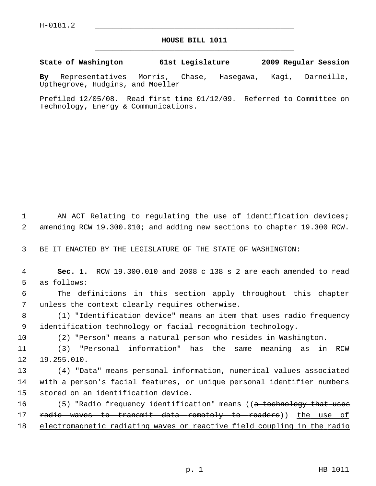## **HOUSE BILL 1011** \_\_\_\_\_\_\_\_\_\_\_\_\_\_\_\_\_\_\_\_\_\_\_\_\_\_\_\_\_\_\_\_\_\_\_\_\_\_\_\_\_\_\_\_\_

**State of Washington 61st Legislature 2009 Regular Session**

**By** Representatives Morris, Chase, Hasegawa, Kagi, Darneille, Upthegrove, Hudgins, and Moeller

Prefiled 12/05/08. Read first time 01/12/09. Referred to Committee on Technology, Energy & Communications.

1 AN ACT Relating to regulating the use of identification devices; 2 amending RCW 19.300.010; and adding new sections to chapter 19.300 RCW.

3 BE IT ENACTED BY THE LEGISLATURE OF THE STATE OF WASHINGTON:

 4 **Sec. 1.** RCW 19.300.010 and 2008 c 138 s 2 are each amended to read 5 as follows:

 6 The definitions in this section apply throughout this chapter 7 unless the context clearly requires otherwise.

 8 (1) "Identification device" means an item that uses radio frequency 9 identification technology or facial recognition technology.

10 (2) "Person" means a natural person who resides in Washington.

11 (3) "Personal information" has the same meaning as in RCW 12 19.255.010.

13 (4) "Data" means personal information, numerical values associated 14 with a person's facial features, or unique personal identifier numbers 15 stored on an identification device.

16 (5) "Radio frequency identification" means ((a technology that uses 17 radio waves to transmit data remotely to readers)) the use of 18 electromagnetic radiating waves or reactive field coupling in the radio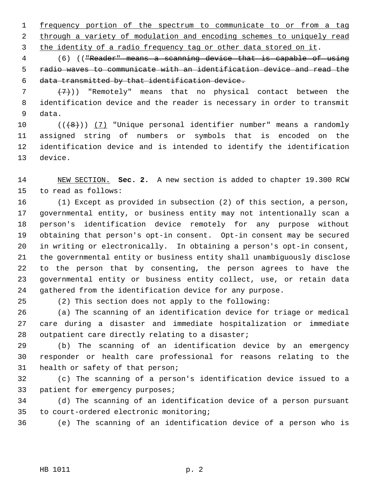1 frequency portion of the spectrum to communicate to or from a tag 2 through a variety of modulation and encoding schemes to uniquely read 3 the identity of a radio frequency tag or other data stored on it.

 4 (6) (("Reader" means a scanning device that is capable of using 5 radio waves to communicate with an identification device and read the 6 data transmitted by that identification device.

 $7$   $(+7)$ ) "Remotely" means that no physical contact between the 8 identification device and the reader is necessary in order to transmit 9 data.

10  $((+8))$  (7) "Unique personal identifier number" means a randomly 11 assigned string of numbers or symbols that is encoded on the 12 identification device and is intended to identify the identification 13 device.

14 NEW SECTION. **Sec. 2.** A new section is added to chapter 19.300 RCW 15 to read as follows:

16 (1) Except as provided in subsection (2) of this section, a person, 17 governmental entity, or business entity may not intentionally scan a 18 person's identification device remotely for any purpose without 19 obtaining that person's opt-in consent. Opt-in consent may be secured 20 in writing or electronically. In obtaining a person's opt-in consent, 21 the governmental entity or business entity shall unambiguously disclose 22 to the person that by consenting, the person agrees to have the 23 governmental entity or business entity collect, use, or retain data 24 gathered from the identification device for any purpose.

25 (2) This section does not apply to the following:

26 (a) The scanning of an identification device for triage or medical 27 care during a disaster and immediate hospitalization or immediate 28 outpatient care directly relating to a disaster;

29 (b) The scanning of an identification device by an emergency 30 responder or health care professional for reasons relating to the 31 health or safety of that person;

32 (c) The scanning of a person's identification device issued to a 33 patient for emergency purposes;

34 (d) The scanning of an identification device of a person pursuant 35 to court-ordered electronic monitoring;

36 (e) The scanning of an identification device of a person who is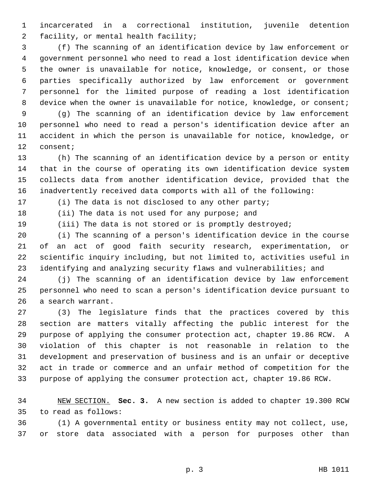1 incarcerated in a correctional institution, juvenile detention 2 facility, or mental health facility;

 3 (f) The scanning of an identification device by law enforcement or 4 government personnel who need to read a lost identification device when 5 the owner is unavailable for notice, knowledge, or consent, or those 6 parties specifically authorized by law enforcement or government 7 personnel for the limited purpose of reading a lost identification 8 device when the owner is unavailable for notice, knowledge, or consent;

 9 (g) The scanning of an identification device by law enforcement 10 personnel who need to read a person's identification device after an 11 accident in which the person is unavailable for notice, knowledge, or 12 consent;

13 (h) The scanning of an identification device by a person or entity 14 that in the course of operating its own identification device system 15 collects data from another identification device, provided that the 16 inadvertently received data comports with all of the following:

17 (i) The data is not disclosed to any other party;

18 (ii) The data is not used for any purpose; and

19 (iii) The data is not stored or is promptly destroyed;

20 (i) The scanning of a person's identification device in the course 21 of an act of good faith security research, experimentation, or 22 scientific inquiry including, but not limited to, activities useful in 23 identifying and analyzing security flaws and vulnerabilities; and

24 (j) The scanning of an identification device by law enforcement 25 personnel who need to scan a person's identification device pursuant to 26 a search warrant.

27 (3) The legislature finds that the practices covered by this 28 section are matters vitally affecting the public interest for the 29 purpose of applying the consumer protection act, chapter 19.86 RCW. A 30 violation of this chapter is not reasonable in relation to the 31 development and preservation of business and is an unfair or deceptive 32 act in trade or commerce and an unfair method of competition for the 33 purpose of applying the consumer protection act, chapter 19.86 RCW.

34 NEW SECTION. **Sec. 3.** A new section is added to chapter 19.300 RCW 35 to read as follows:

36 (1) A governmental entity or business entity may not collect, use, 37 or store data associated with a person for purposes other than